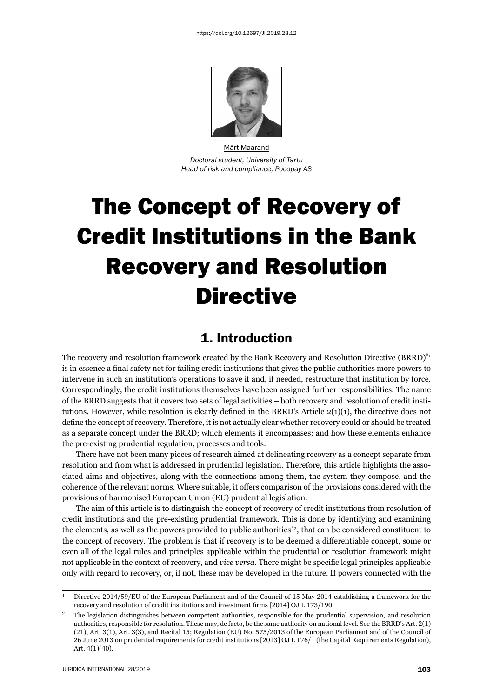

Märt Maarand *Doctoral student, University of Tartu Head of risk and compliance, Pocopay AS*

# The Concept of Recovery of Credit Institutions in the Bank Recovery and Resolution **Directive**

## 1. Introduction

The recovery and resolution framework created by the Bank Recovery and Resolution Directive (BRRD)<sup>\*1</sup> is in essence a final safety net for failing credit institutions that gives the public authorities more powers to intervene in such an institution's operations to save it and, if needed, restructure that institution by force. Correspondingly, the credit institutions themselves have been assigned further responsibilities. The name of the BRRD suggests that it covers two sets of legal activities – both recovery and resolution of credit institutions. However, while resolution is clearly defined in the BRRD's Article  $2(1)(1)$ , the directive does not define the concept of recovery. Therefore, it is not actually clear whether recovery could or should be treated as a separate concept under the BRRD; which elements it encompasses; and how these elements enhance the pre-existing prudential regulation, processes and tools.

There have not been many pieces of research aimed at delineating recovery as a concept separate from resolution and from what is addressed in prudential legislation. Therefore, this article highlights the associated aims and objectives, along with the connections among them, the system they compose, and the coherence of the relevant norms. Where suitable, it offers comparison of the provisions considered with the provisions of harmonised European Union (EU) prudential legislation.

The aim of this article is to distinguish the concept of recovery of credit institutions from resolution of credit institutions and the pre-existing prudential framework. This is done by identifying and examining the elements, as well as the powers provided to public authorities<sup>\*2</sup>, that can be considered constituent to the concept of recovery. The problem is that if recovery is to be deemed a differentiable concept, some or even all of the legal rules and principles applicable within the prudential or resolution framework might not applicable in the context of recovery, and *vice versa*. There might be specific legal principles applicable only with regard to recovery, or, if not, these may be developed in the future. If powers connected with the

 $^1$  Directive 2014/59/EU of the European Parliament and of the Council of 15 May 2014 establishing a framework for the recovery and resolution of credit institutions and investment firms [2014] OJ L 173/190.

<sup>ɳ</sup> The legislation distinguishes between competent authorities, responsible for the prudential supervision, and resolution authorities, responsible for resolution. These may, de facto, be the same authority on national level. See the BRRD's Art.  $2(1)$ (21), Art. 3(1), Art. 3(3), and Recital 15; Regulation (EU) No. 575/2013 of the European Parliament and of the Council of 26 June 2013 on prudential requirements for credit institutions [2013] OJ L 176/1 (the Capital Requirements Regulation), Art. 4(1)(40).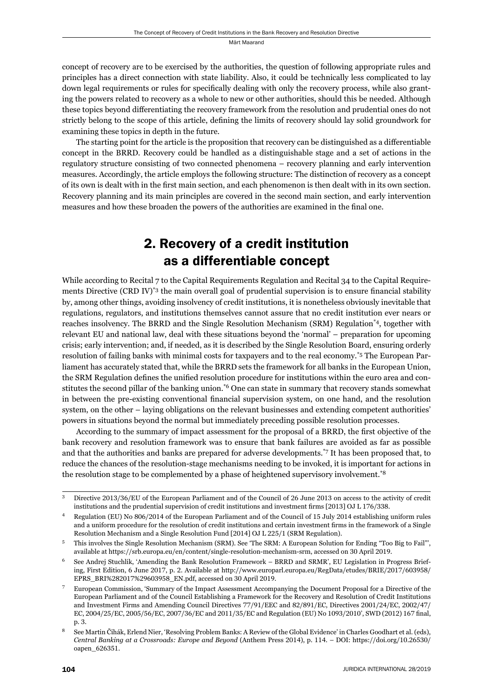concept of recovery are to be exercised by the authorities, the question of following appropriate rules and principles has a direct connection with state liability. Also, it could be technically less complicated to lay down legal requirements or rules for specifically dealing with only the recovery process, while also granting the powers related to recovery as a whole to new or other authorities, should this be needed. Although these topics beyond differentiating the recovery framework from the resolution and prudential ones do not strictly belong to the scope of this article, defining the limits of recovery should lay solid groundwork for examining these topics in depth in the future.

The starting point for the article is the proposition that recovery can be distinguished as a differentiable concept in the BRRD. Recovery could be handled as a distinguishable stage and a set of actions in the regulatory structure consisting of two connected phenomena – recovery planning and early intervention measures. Accordingly, the article employs the following structure: The distinction of recovery as a concept of its own is dealt with in the first main section, and each phenomenon is then dealt with in its own section. Recovery planning and its main principles are covered in the second main section, and early intervention measures and how these broaden the powers of the authorities are examined in the final one.

## 2. Recovery of a credit institution as a differentiable concept

While according to Recital 7 to the Capital Requirements Regulation and Recital 34 to the Capital Requirements Directive (CRD IV)<sup>\*3</sup> the main overall goal of prudential supervision is to ensure financial stability by, among other things, avoiding insolvency of credit institutions, it is nonetheless obviously inevitable that regulations, regulators, and institutions themselves cannot assure that no credit institution ever nears or reaches insolvency. The BRRD and the Single Resolution Mechanism (SRM) Regulation\*4, together with relevant EU and national law, deal with these situations beyond the 'normal' – preparation for upcoming crisis; early intervention; and, if needed, as it is described by the Single Resolution Board, ensuring orderly resolution of failing banks with minimal costs for taxpayers and to the real economy.\*5 The European Parliament has accurately stated that, while the BRRD sets the framework for all banks in the European Union, the SRM Regulation defines the unified resolution procedure for institutions within the euro area and constitutes the second pillar of the banking union.\*6 One can state in summary that recovery stands somewhat in between the pre-existing conventional financial supervision system, on one hand, and the resolution system, on the other – laying obligations on the relevant businesses and extending competent authorities' powers in situations beyond the normal but immediately preceding possible resolution processes.

According to the summary of impact assessment for the proposal of a BRRD, the first objective of the bank recovery and resolution framework was to ensure that bank failures are avoided as far as possible and that the authorities and banks are prepared for adverse developments.\*7 It has been proposed that, to reduce the chances of the resolution-stage mechanisms needing to be invoked, it is important for actions in the resolution stage to be complemented by a phase of heightened supervisory involvement.\*8

<sup>&</sup>lt;sup>3</sup> Directive 2013/36/EU of the European Parliament and of the Council of 26 June 2013 on access to the activity of credit institutions and the prudential supervision of credit institutions and investment firms [2013] OJ L 176/338.

Regulation (EU) No 806/2014 of the European Parliament and of the Council of 15 July 2014 establishing uniform rules and a uniform procedure for the resolution of credit institutions and certain investment firms in the framework of a Single Resolution Mechanism and a Single Resolution Fund [2014] OJ L 225/1 (SRM Regulation).

<sup>ɶ</sup> This involves the Single Resolution Mechanism (SRM). See 'The SRM: A European Solution for Ending "Too Big to Fail"', available at https://srb.europa.eu/en/content/single-resolution-mechanism-srm, accessed on 30 April 2019.

See Andrej Stuchlik, 'Amending the Bank Resolution Framework – BRRD and SRMR', EU Legislation in Progress Briefing, First Edition, 6 June 2017, p. 2. Available at http://www.europarl.europa.eu/RegData/etudes/BRIE/2017/603958/ EPRS\_BRI%282017%29603958\_EN.pdf, accessed on 30 April 2019.

<sup>ɸ</sup> European Commission, 'Summary of the Impact Assessment Accompanying the Document Proposal for a Directive of the European Parliament and of the Council Establishing a Framework for the Recovery and Resolution of Credit Institutions and Investment Firms and Amending Council Directives  $77/91/EEC$  and  $82/891/EC$ , Directives  $2001/24/EC$ ,  $2002/47/$ EC, 2004/25/EC, 2005/56/EC, 2007/36/EC and 2011/35/EC and Regulation (EU) No 1093/2010', SWD (2012) 167 final, p. 3.

See Martin Čihák, Erlend Nier, 'Resolving Problem Banks: A Review of the Global Evidence' in Charles Goodhart et al. (eds), *Central Banking at a Crossroads: Europe and Beyond (Anthem Press 2014), p. 114. – DOI: https://doi.org/10.26530/* oapen\_626351.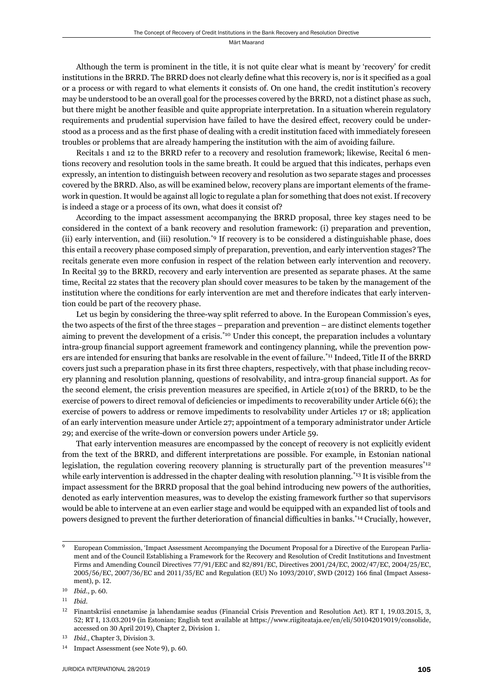Although the term is prominent in the title, it is not quite clear what is meant by 'recovery' for credit institutions in the BRRD. The BRRD does not clearly define what this recovery is, nor is it specified as a goal or a process or with regard to what elements it consists of. On one hand, the credit institution's recovery may be understood to be an overall goal for the processes covered by the BRRD, not a distinct phase as such, but there might be another feasible and quite appropriate interpretation. In a situation wherein regulatory requirements and prudential supervision have failed to have the desired effect, recovery could be understood as a process and as the first phase of dealing with a credit institution faced with immediately foreseen troubles or problems that are already hampering the institution with the aim of avoiding failure.

Recitals 1 and 12 to the BRRD refer to a recovery and resolution framework; likewise, Recital 6 mentions recovery and resolution tools in the same breath. It could be argued that this indicates, perhaps even expressly, an intention to distinguish between recovery and resolution as two separate stages and processes covered by the BRRD. Also, as will be examined below, recovery plans are important elements of the framework in question. It would be against all logic to regulate a plan for something that does not exist. If recovery is indeed a stage or a process of its own, what does it consist of?

According to the impact assessment accompanying the BRRD proposal, three key stages need to be considered in the context of a bank recovery and resolution framework: (i) preparation and prevention, (ii) early intervention, and (iii) resolution.\*9 If recovery is to be considered a distinguishable phase, does this entail a recovery phase composed simply of preparation, prevention, and early intervention stages? The recitals generate even more confusion in respect of the relation between early intervention and recovery. In Recital 39 to the BRRD, recovery and early intervention are presented as separate phases. At the same time, Recital 22 states that the recovery plan should cover measures to be taken by the management of the institution where the conditions for early intervention are met and therefore indicates that early intervention could be part of the recovery phase.

Let us begin by considering the three-way split referred to above. In the European Commission's eyes, the two aspects of the first of the three stages – preparation and prevention – are distinct elements together aiming to prevent the development of a crisis.<sup>\*10</sup> Under this concept, the preparation includes a voluntary intra-group financial support agreement framework and contingency planning, while the prevention powers are intended for ensuring that banks are resolvable in the event of failure.\*11 Indeed, Title II of the BRRD covers just such a preparation phase in its first three chapters, respectively, with that phase including recovery planning and resolution planning, questions of resolvability, and intra-group financial support. As for the second element, the crisis prevention measures are specified, in Article  $2(101)$  of the BRRD, to be the exercise of powers to direct removal of deficiencies or impediments to recoverability under Article 6(6); the exercise of powers to address or remove impediments to resolvability under Articles 17 or 18; application of an early intervention measure under Article 27; appointment of a temporary administrator under Article 29; and exercise of the write-down or conversion powers under Article 59.

That early intervention measures are encompassed by the concept of recovery is not explicitly evident from the text of the BRRD, and different interpretations are possible. For example, in Estonian national legislation, the regulation covering recovery planning is structurally part of the prevention measures<sup>\*12</sup> while early intervention is addressed in the chapter dealing with resolution planning.<sup>\*13</sup> It is visible from the impact assessment for the BRRD proposal that the goal behind introducing new powers of the authorities, denoted as early intervention measures, was to develop the existing framework further so that supervisors would be able to intervene at an even earlier stage and would be equipped with an expanded list of tools and powers designed to prevent the further deterioration of financial difficulties in banks.\*14 Crucially, however,

European Commission, 'Impact Assessment Accompanying the Document Proposal for a Directive of the European Parliament and of the Council Establishing a Framework for the Recovery and Resolution of Credit Institutions and Investment Firms and Amending Council Directives  $77/91/EEC$  and  $82/891/EC$ , Directives  $2001/24/EC$ ,  $2002/47/EC$ ,  $2004/25/EC$ , 2005/56/EC, 2007/36/EC and 2011/35/EC and Regulation (EU) No 1093/2010', SWD (2012) 166 final (Impact Assessment), p. 12.

<sup>10</sup> *Ibid.*, p. 60.

ɲɲ *Ibid*.

 $12$  Finantskriisi ennetamise ja lahendamise seadus (Financial Crisis Prevention and Resolution Act). RT I, 19.03.2015, 3, 52; RT I, 13.03.2019 (in Estonian; English text available at https://www.riigiteataja.ee/en/eli/501042019019/consolide, accessed on 30 April 2019), Chapter 2, Division 1.

<sup>&</sup>lt;sup>13</sup> *Ibid.*, Chapter 3, Division 3.

<sup>&</sup>lt;sup>14</sup> Impact Assessment (see Note 9), p. 60.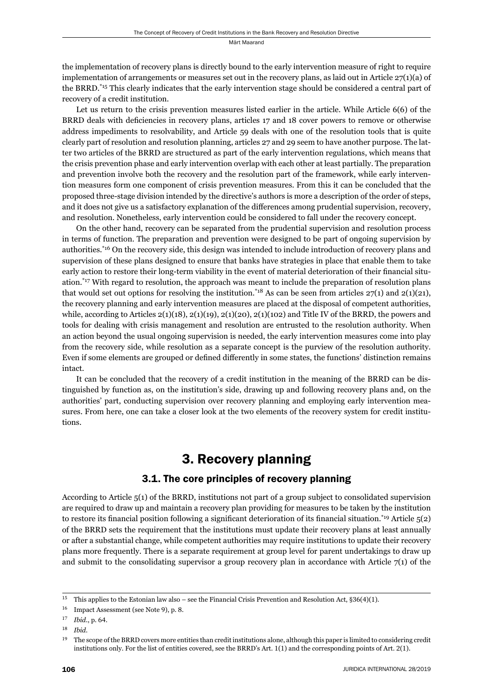the implementation of recovery plans is directly bound to the early intervention measure of right to require implementation of arrangements or measures set out in the recovery plans, as laid out in Article 27(1)(a) of the BRRD.\*15 This clearly indicates that the early intervention stage should be considered a central part of recovery of a credit institution.

Let us return to the crisis prevention measures listed earlier in the article. While Article 6(6) of the BRRD deals with deficiencies in recovery plans, articles 17 and 18 cover powers to remove or otherwise address impediments to resolvability, and Article 59 deals with one of the resolution tools that is quite clearly part of resolution and resolution planning, articles 27 and 29 seem to have another purpose. The latter two articles of the BRRD are structured as part of the early intervention regulations, which means that the crisis prevention phase and early intervention overlap with each other at least partially. The preparation and prevention involve both the recovery and the resolution part of the framework, while early intervention measures form one component of crisis prevention measures. From this it can be concluded that the proposed three-stage division intended by the directive's authors is more a description of the order of steps, and it does not give us a satisfactory explanation of the differences among prudential supervision, recovery, and resolution. Nonetheless, early intervention could be considered to fall under the recovery concept.

On the other hand, recovery can be separated from the prudential supervision and resolution process in terms of function. The preparation and prevention were designed to be part of ongoing supervision by authorities.\*16 On the recovery side, this design was intended to include introduction of recovery plans and supervision of these plans designed to ensure that banks have strategies in place that enable them to take early action to restore their long-term viability in the event of material deterioration of their financial situation.<sup>\*17</sup> With regard to resolution, the approach was meant to include the preparation of resolution plans that would set out options for resolving the institution.<sup>\*18</sup> As can be seen from articles  $27(1)$  and  $2(1)(21)$ , the recovery planning and early intervention measures are placed at the disposal of competent authorities, while, according to Articles  $2(1)(18)$ ,  $2(1)(19)$ ,  $2(1)(20)$ ,  $2(1)(102)$  and Title IV of the BRRD, the powers and tools for dealing with crisis management and resolution are entrusted to the resolution authority. When an action beyond the usual ongoing supervision is needed, the early intervention measures come into play from the recovery side, while resolution as a separate concept is the purview of the resolution authority. Even if some elements are grouped or defined differently in some states, the functions' distinction remains intact.

It can be concluded that the recovery of a credit institution in the meaning of the BRRD can be distinguished by function as, on the institution's side, drawing up and following recovery plans and, on the authorities' part, conducting supervision over recovery planning and employing early intervention measures. From here, one can take a closer look at the two elements of the recovery system for credit institutions.

## 3. Recovery planning

### 3.1. The core principles of recovery planning

According to Article 5(1) of the BRRD, institutions not part of a group subject to consolidated supervision are required to draw up and maintain a recovery plan providing for measures to be taken by the institution to restore its financial position following a significant deterioration of its financial situation.<sup>\*19</sup> Article  $5(2)$ of the BRRD sets the requirement that the institutions must update their recovery plans at least annually or after a substantial change, while competent authorities may require institutions to update their recovery plans more frequently. There is a separate requirement at group level for parent undertakings to draw up and submit to the consolidating supervisor a group recovery plan in accordance with Article  $7(1)$  of the

<sup>&</sup>lt;sup>15</sup> This applies to the Estonian law also – see the Financial Crisis Prevention and Resolution Act, §36(4)(1).

<sup>&</sup>lt;sup>16</sup> Impact Assessment (see Note 9), p. 8.

<sup>17</sup> *Ibid.*, p. 64.

ɲɹ *Ibid*.

<sup>&</sup>lt;sup>19</sup> The scope of the BRRD covers more entities than credit institutions alone, although this paper is limited to considering credit institutions only. For the list of entities covered, see the BRRD's Art. 1(1) and the corresponding points of Art. 2(1).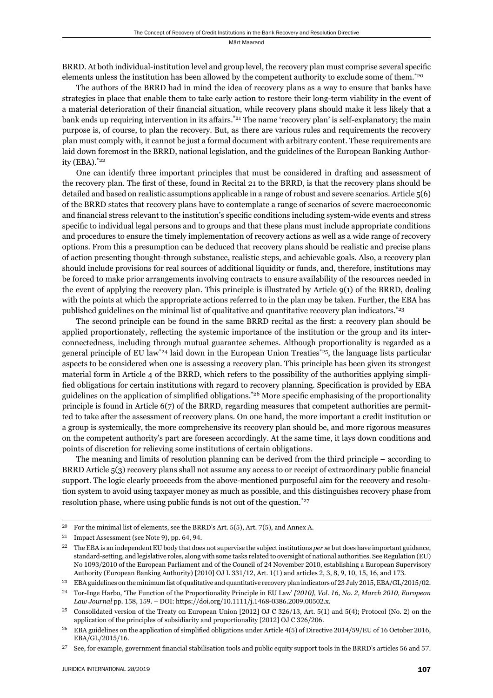BRRD. At both individual-institution level and group level, the recovery plan must comprise several specific elements unless the institution has been allowed by the competent authority to exclude some of them.\*20

The authors of the BRRD had in mind the idea of recovery plans as a way to ensure that banks have strategies in place that enable them to take early action to restore their long-term viability in the event of a material deterioration of their financial situation, while recovery plans should make it less likely that a bank ends up requiring intervention in its affairs.<sup>\*21</sup> The name 'recovery plan' is self-explanatory; the main purpose is, of course, to plan the recovery. But, as there are various rules and requirements the recovery plan must comply with, it cannot be just a formal document with arbitrary content. These requirements are laid down foremost in the BRRD, national legislation, and the guidelines of the European Banking Authority (EBA).\*22

One can identify three important principles that must be considered in drafting and assessment of the recovery plan. The first of these, found in Recital 21 to the BRRD, is that the recovery plans should be detailed and based on realistic assumptions applicable in a range of robust and severe scenarios. Article 5(6) of the BRRD states that recovery plans have to contemplate a range of scenarios of severe macroeconomic and financial stress relevant to the institution's specific conditions including system-wide events and stress specific to individual legal persons and to groups and that these plans must include appropriate conditions and procedures to ensure the timely implementation of recovery actions as well as a wide range of recovery options. From this a presumption can be deduced that recovery plans should be realistic and precise plans of action presenting thought-through substance, realistic steps, and achievable goals. Also, a recovery plan should include provisions for real sources of additional liquidity or funds, and, therefore, institutions may be forced to make prior arrangements involving contracts to ensure availability of the resources needed in the event of applying the recovery plan. This principle is illustrated by Article 9(1) of the BRRD, dealing with the points at which the appropriate actions referred to in the plan may be taken. Further, the EBA has published guidelines on the minimal list of qualitative and quantitative recovery plan indicators.\*23

The second principle can be found in the same BRRD recital as the first: a recovery plan should be applied proportionately, reflecting the systemic importance of the institution or the group and its interconnectedness, including through mutual guarantee schemes. Although proportionality is regarded as a general principle of EU law<sup>\*24</sup> laid down in the European Union Treaties<sup>\*25</sup>, the language lists particular aspects to be considered when one is assessing a recovery plan. This principle has been given its strongest material form in Article 4 of the BRRD, which refers to the possibility of the authorities applying simplified obligations for certain institutions with regard to recovery planning. Specification is provided by EBA guidelines on the application of simplified obligations.<sup>\*26</sup> More specific emphasising of the proportionality principle is found in Article 6(7) of the BRRD, regarding measures that competent authorities are permitted to take after the assessment of recovery plans. On one hand, the more important a credit institution or a group is systemically, the more comprehensive its recovery plan should be, and more rigorous measures on the competent authority's part are foreseen accordingly. At the same time, it lays down conditions and points of discretion for relieving some institutions of certain obligations.

The meaning and limits of resolution planning can be derived from the third principle – according to BRRD Article  $5(3)$  recovery plans shall not assume any access to or receipt of extraordinary public financial support. The logic clearly proceeds from the above-mentioned purposeful aim for the recovery and resolution system to avoid using taxpayer money as much as possible, and this distinguishes recovery phase from resolution phase, where using public funds is not out of the question.\*27

<sup>&</sup>lt;sup>20</sup> For the minimal list of elements, see the BRRD's Art.  $5(5)$ , Art.  $7(5)$ , and Annex A.

 $21$  Impact Assessment (see Note 9), pp. 64, 94.

<sup>&</sup>lt;sup>22</sup> The EBA is an independent EU body that does not supervise the subject institutions *per se* but does have important guidance, standard-setting, and legislative roles, along with some tasks related to oversight of national authorities. See Regulation (EU) No 1093/2010 of the European Parliament and of the Council of 24 November 2010, establishing a European Supervisory Authority (European Banking Authority) [2010] OJ L 331/12, Art. 1(1) and articles 2, 3, 8, 9, 10, 15, 16, and 173.

<sup>&</sup>lt;sup>23</sup> EBA guidelines on the minimum list of qualitative and quantitative recovery plan indicators of 23 July 2015, EBA/GL/2015/02.

<sup>&</sup>lt;sup>24</sup> Tor-Inge Harbo, 'The Function of the Proportionality Principle in EU Law' [2010], Vol. 16, No. 2, March 2010, European *Law Journal* pp. 158, 159. – DOI: https://doi.org/10.1111/j.1468-0386.2009.00502.x.

 $^{25}$  Consolidated version of the Treaty on European Union [2012] OJ C 326/13, Art.  $5(1)$  and  $5(4)$ ; Protocol (No. 2) on the application of the principles of subsidiarity and proportionality [2012] OJ C 326/206.

<sup>&</sup>lt;sup>26</sup> EBA guidelines on the application of simplified obligations under Article 4(5) of Directive 2014/59/EU of 16 October 2016, EBA/GL/2015/16.

<sup>&</sup>lt;sup>27</sup> See, for example, government financial stabilisation tools and public equity support tools in the BRRD's articles 56 and 57.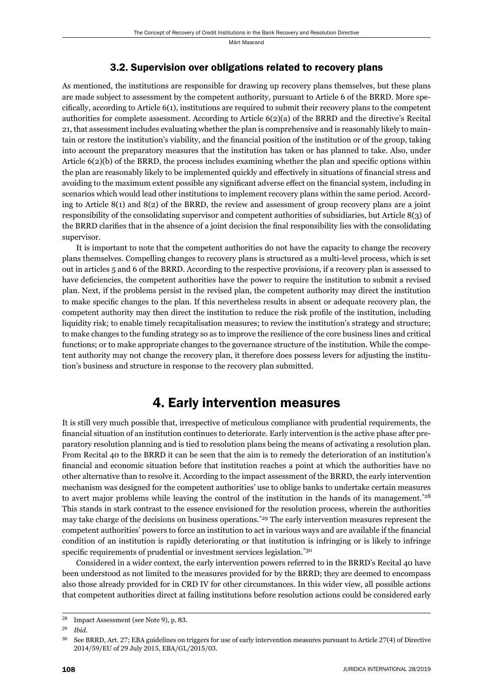#### 3.2. Supervision over obligations related to recovery plans

As mentioned, the institutions are responsible for drawing up recovery plans themselves, but these plans are made subject to assessment by the competent authority, pursuant to Article 6 of the BRRD. More specifically, according to Article  $6(1)$ , institutions are required to submit their recovery plans to the competent authorities for complete assessment. According to Article 6(2)(a) of the BRRD and the directive's Recital 21, that assessment includes evaluating whether the plan is comprehensive and is reasonably likely to maintain or restore the institution's viability, and the financial position of the institution or of the group, taking into account the preparatory measures that the institution has taken or has planned to take. Also, under Article  $6(2)(b)$  of the BRRD, the process includes examining whether the plan and specific options within the plan are reasonably likely to be implemented quickly and effectively in situations of financial stress and avoiding to the maximum extent possible any significant adverse effect on the financial system, including in scenarios which would lead other institutions to implement recovery plans within the same period. According to Article 8(1) and 8(2) of the BRRD, the review and assessment of group recovery plans are a joint responsibility of the consolidating supervisor and competent authorities of subsidiaries, but Article 8(3) of the BRRD clarifies that in the absence of a joint decision the final responsibility lies with the consolidating supervisor.

It is important to note that the competent authorities do not have the capacity to change the recovery plans themselves. Compelling changes to recovery plans is structured as a multi-level process, which is set out in articles 5 and 6 of the BRRD. According to the respective provisions, if a recovery plan is assessed to have deficiencies, the competent authorities have the power to require the institution to submit a revised plan. Next, if the problems persist in the revised plan, the competent authority may direct the institution to make specific changes to the plan. If this nevertheless results in absent or adequate recovery plan, the competent authority may then direct the institution to reduce the risk profile of the institution, including liquidity risk; to enable timely recapitalisation measures; to review the institution's strategy and structure; to make changes to the funding strategy so as to improve the resilience of the core business lines and critical functions; or to make appropriate changes to the governance structure of the institution. While the competent authority may not change the recovery plan, it therefore does possess levers for adjusting the institution's business and structure in response to the recovery plan submitted.

## 4. Early intervention measures

It is still very much possible that, irrespective of meticulous compliance with prudential requirements, the financial situation of an institution continues to deteriorate. Early intervention is the active phase after preparatory resolution planning and is tied to resolution plans being the means of activating a resolution plan. From Recital 40 to the BRRD it can be seen that the aim is to remedy the deterioration of an institution's financial and economic situation before that institution reaches a point at which the authorities have no other alternative than to resolve it. According to the impact assessment of the BRRD, the early intervention mechanism was designed for the competent authorities' use to oblige banks to undertake certain measures to avert major problems while leaving the control of the institution in the hands of its management.<sup>\*28</sup> This stands in stark contrast to the essence envisioned for the resolution process, wherein the authorities may take charge of the decisions on business operations.<sup>\*29</sup> The early intervention measures represent the competent authorities' powers to force an institution to act in various ways and are available if the financial condition of an institution is rapidly deteriorating or that institution is infringing or is likely to infringe specific requirements of prudential or investment services legislation.<sup>\*30</sup>

Considered in a wider context, the early intervention powers referred to in the BRRD's Recital 40 have been understood as not limited to the measures provided for by the BRRD; they are deemed to encompass also those already provided for in CRD IV for other circumstances. In this wider view, all possible actions that competent authorities direct at failing institutions before resolution actions could be considered early

<sup>&</sup>lt;sup>28</sup> Impact Assessment (see Note 9), p. 83.

ɳɺ *Ibid*.

<sup>&</sup>lt;sup>30</sup> See BRRD, Art. 27; EBA guidelines on triggers for use of early intervention measures pursuant to Article 27(4) of Directive 2014/59/EU of 29 July 2015, EBA/GL/2015/03.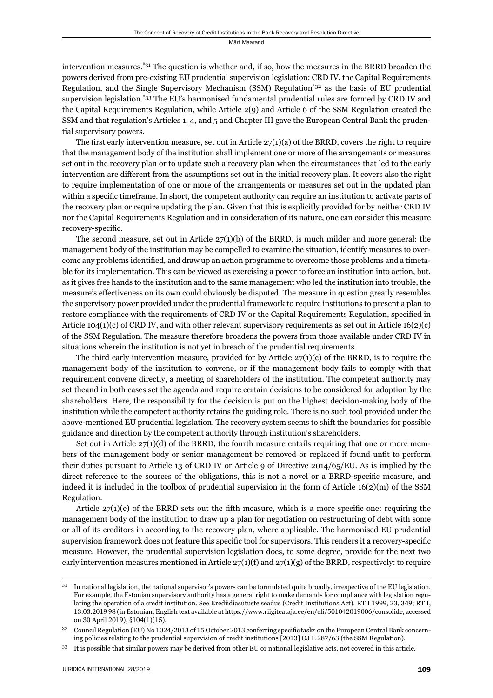intervention measures.\*31 The question is whether and, if so, how the measures in the BRRD broaden the powers derived from pre-existing EU prudential supervision legislation: CRD IV, the Capital Requirements Regulation, and the Single Supervisory Mechanism (SSM) Regulation\*32 as the basis of EU prudential supervision legislation.<sup>\*33</sup> The EU's harmonised fundamental prudential rules are formed by CRD IV and the Capital Requirements Regulation, while Article 2(9) and Article 6 of the SSM Regulation created the SSM and that regulation's Articles 1, 4, and 5 and Chapter III gave the European Central Bank the prudential supervisory powers.

The first early intervention measure, set out in Article  $27(1)(a)$  of the BRRD, covers the right to require that the management body of the institution shall implement one or more of the arrangements or measures set out in the recovery plan or to update such a recovery plan when the circumstances that led to the early intervention are different from the assumptions set out in the initial recovery plan. It covers also the right to require implementation of one or more of the arrangements or measures set out in the updated plan within a specific timeframe. In short, the competent authority can require an institution to activate parts of the recovery plan or require updating the plan. Given that this is explicitly provided for by neither CRD IV nor the Capital Requirements Regulation and in consideration of its nature, one can consider this measure recovery-specific.

The second measure, set out in Article  $27(1)(b)$  of the BRRD, is much milder and more general: the management body of the institution may be compelled to examine the situation, identify measures to overcome any problems identified, and draw up an action programme to overcome those problems and a timetable for its implementation. This can be viewed as exercising a power to force an institution into action, but, as it gives free hands to the institution and to the same management who led the institution into trouble, the measure's effectiveness on its own could obviously be disputed. The measure in question greatly resembles the supervisory power provided under the prudential framework to require institutions to present a plan to restore compliance with the requirements of CRD IV or the Capital Requirements Regulation, specified in Article 104(1)(c) of CRD IV, and with other relevant supervisory requirements as set out in Article 16(2)(c) of the SSM Regulation. The measure therefore broadens the powers from those available under CRD IV in situations wherein the institution is not yet in breach of the prudential requirements.

The third early intervention measure, provided for by Article  $27(1)(c)$  of the BRRD, is to require the management body of the institution to convene, or if the management body fails to comply with that requirement convene directly, a meeting of shareholders of the institution. The competent authority may set theand in both cases set the agenda and require certain decisions to be considered for adoption by the shareholders. Here, the responsibility for the decision is put on the highest decision-making body of the institution while the competent authority retains the guiding role. There is no such tool provided under the above-mentioned EU prudential legislation. The recovery system seems to shift the boundaries for possible guidance and direction by the competent authority through institution's shareholders.

Set out in Article  $27(1)(d)$  of the BRRD, the fourth measure entails requiring that one or more members of the management body or senior management be removed or replaced if found unfit to perform their duties pursuant to Article 13 of CRD IV or Article 9 of Directive 2014/65/EU. As is implied by the direct reference to the sources of the obligations, this is not a novel or a BRRD-specific measure, and indeed it is included in the toolbox of prudential supervision in the form of Article 16(2)(m) of the SSM Regulation.

Article  $27(1)(e)$  of the BRRD sets out the fifth measure, which is a more specific one: requiring the management body of the institution to draw up a plan for negotiation on restructuring of debt with some or all of its creditors in according to the recovery plan, where applicable. The harmonised EU prudential supervision framework does not feature this specific tool for supervisors. This renders it a recovery-specific measure. However, the prudential supervision legislation does, to some degree, provide for the next two early intervention measures mentioned in Article  $27(1)(f)$  and  $27(1)(g)$  of the BRRD, respectively: to require

 $\frac{31}{10}$  In national legislation, the national supervisor's powers can be formulated quite broadly, irrespective of the EU legislation. For example, the Estonian supervisory authority has a general right to make demands for compliance with legislation regulating the operation of a credit institution. See Krediidiasutuste seadus (Credit Institutions Act). RT I 1999, 23, 349; RT I, 13.03.2019 98 (in Estonian; English text available at https://www.riigiteataja.ee/en/eli/501042019006/consolide, accessed on 30 April 2019), §104(1)(15).

<sup>32</sup> Council Regulation (EU) No 1024/2013 of 15 October 2013 conferring specific tasks on the European Central Bank concerning policies relating to the prudential supervision of credit institutions [2013] OJ L 287/63 (the SSM Regulation).

<sup>&</sup>lt;sup>33</sup> It is possible that similar powers may be derived from other EU or national legislative acts, not covered in this article.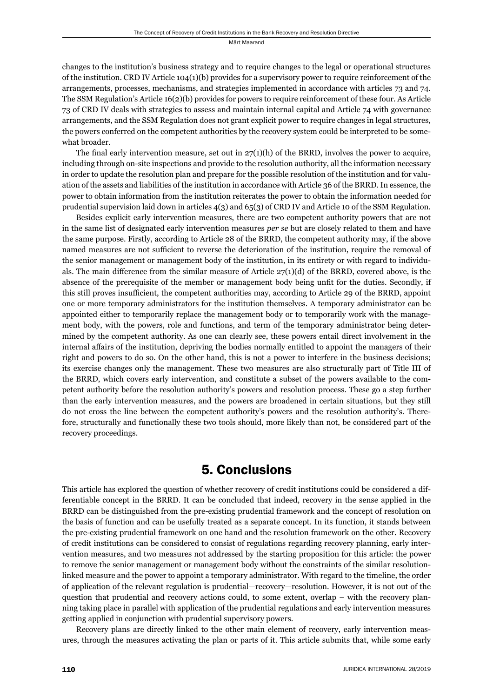changes to the institution's business strategy and to require changes to the legal or operational structures of the institution. CRD IV Article 104(1)(b) provides for a supervisory power to require reinforcement of the arrangements, processes, mechanisms, and strategies implemented in accordance with articles 73 and 74. The SSM Regulation's Article 16(2)(b) provides for powers to require reinforcement of these four. As Article 73 of CRD IV deals with strategies to assess and maintain internal capital and Article 74 with governance arrangements, and the SSM Regulation does not grant explicit power to require changes in legal structures, the powers conferred on the competent authorities by the recovery system could be interpreted to be somewhat broader.

The final early intervention measure, set out in  $27(1)(h)$  of the BRRD, involves the power to acquire, including through on-site inspections and provide to the resolution authority, all the information necessary in order to update the resolution plan and prepare for the possible resolution of the institution and for valuation of the assets and liabilities of the institution in accordance with Article 36 of the BRRD. In essence, the power to obtain information from the institution reiterates the power to obtain the information needed for prudential supervision laid down in articles 4(3) and 65(3) of CRD IV and Article 10 of the SSM Regulation.

Besides explicit early intervention measures, there are two competent authority powers that are not in the same list of designated early intervention measures *per se* but are closely related to them and have the same purpose. Firstly, according to Article 28 of the BRRD, the competent authority may, if the above named measures are not sufficient to reverse the deterioration of the institution, require the removal of the senior management or management body of the institution, in its entirety or with regard to individuals. The main difference from the similar measure of Article  $27(1)(d)$  of the BRRD, covered above, is the absence of the prerequisite of the member or management body being unfit for the duties. Secondly, if this still proves insufficient, the competent authorities may, according to Article 29 of the BRRD, appoint one or more temporary administrators for the institution themselves. A temporary administrator can be appointed either to temporarily replace the management body or to temporarily work with the management body, with the powers, role and functions, and term of the temporary administrator being determined by the competent authority. As one can clearly see, these powers entail direct involvement in the internal affairs of the institution, depriving the bodies normally entitled to appoint the managers of their right and powers to do so. On the other hand, this is not a power to interfere in the business decisions; its exercise changes only the management. These two measures are also structurally part of Title III of the BRRD, which covers early intervention, and constitute a subset of the powers available to the competent authority before the resolution authority's powers and resolution process. These go a step further than the early intervention measures, and the powers are broadened in certain situations, but they still do not cross the line between the competent authority's powers and the resolution authority's. Therefore, structurally and functionally these two tools should, more likely than not, be considered part of the recovery proceedings.

## 5. Conclusions

This article has explored the question of whether recovery of credit institutions could be considered a differentiable concept in the BRRD. It can be concluded that indeed, recovery in the sense applied in the BRRD can be distinguished from the pre-existing prudential framework and the concept of resolution on the basis of function and can be usefully treated as a separate concept. In its function, it stands between the pre-existing prudential framework on one hand and the resolution framework on the other. Recovery of credit institutions can be considered to consist of regulations regarding recovery planning, early intervention measures, and two measures not addressed by the starting proposition for this article: the power to remove the senior management or management body without the constraints of the similar resolutionlinked measure and the power to appoint a temporary administrator. With regard to the timeline, the order of application of the relevant regulation is prudential—recovery—resolution. However, it is not out of the question that prudential and recovery actions could, to some extent, overlap – with the recovery planning taking place in parallel with application of the prudential regulations and early intervention measures getting applied in conjunction with prudential supervisory powers.

Recovery plans are directly linked to the other main element of recovery, early intervention measures, through the measures activating the plan or parts of it. This article submits that, while some early